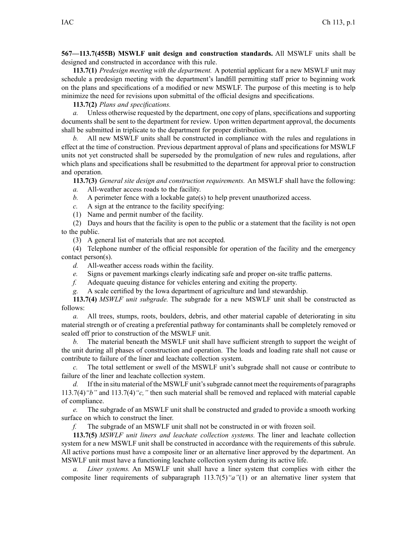**567—113.7(455B) MSWLF unit design and construction standards.** All MSWLF units shall be designed and constructed in accordance with this rule.

**113.7(1)** *Predesign meeting with the department.* A potential applicant for <sup>a</sup> new MSWLF unit may schedule <sup>a</sup> predesign meeting with the department's landfill permitting staff prior to beginning work on the plans and specifications of <sup>a</sup> modified or new MSWLF. The purpose of this meeting is to help minimize the need for revisions upon submittal of the official designs and specifications.

**113.7(2)** *Plans and specifications.*

*a.* Unless otherwise requested by the department, one copy of plans, specifications and supporting documents shall be sent to the department for review. Upon written department approval, the documents shall be submitted in triplicate to the department for proper distribution.

*b.* All new MSWLF units shall be constructed in compliance with the rules and regulations in effect at the time of construction. Previous department approval of plans and specifications for MSWLF units not ye<sup>t</sup> constructed shall be superseded by the promulgation of new rules and regulations, after which plans and specifications shall be resubmitted to the department for approval prior to construction and operation.

**113.7(3)** *General site design and construction requirements.* An MSWLF shall have the following: *a.* All-weather access roads to the facility.

*b.* A perimeter fence with <sup>a</sup> lockable gate(s) to help preven<sup>t</sup> unauthorized access.

*c.* A sign at the entrance to the facility specifying:

(1) Name and permit number of the facility.

(2) Days and hours that the facility is open to the public or <sup>a</sup> statement that the facility is not open to the public.

(3) A general list of materials that are not accepted.

(4) Telephone number of the official responsible for operation of the facility and the emergency contact person(s).

*d.* All-weather access roads within the facility.

*e.* Signs or pavemen<sup>t</sup> markings clearly indicating safe and proper on-site traffic patterns.

*f.* Adequate queuing distance for vehicles entering and exiting the property.

*g.* A scale certified by the Iowa department of agriculture and land stewardship.

**113.7(4)** *MSWLF unit subgrade.* The subgrade for <sup>a</sup> new MSWLF unit shall be constructed as follows:

*a.* All trees, stumps, roots, boulders, debris, and other material capable of deteriorating in situ material strength or of creating <sup>a</sup> preferential pathway for contaminants shall be completely removed or sealed off prior to construction of the MSWLF unit.

*b.* The material beneath the MSWLF unit shall have sufficient strength to suppor<sup>t</sup> the weight of the unit during all phases of construction and operation. The loads and loading rate shall not cause or contribute to failure of the liner and leachate collection system.

*c.* The total settlement or swell of the MSWLF unit's subgrade shall not cause or contribute to failure of the liner and leachate collection system.

*d.* If the in situ material of the MSWLF unit's subgrade cannot meet the requirements of paragraphs 113.7(4)*"b"* and 113.7(4)*"c,"* then such material shall be removed and replaced with material capable of compliance.

*e.* The subgrade of an MSWLF unit shall be constructed and graded to provide <sup>a</sup> smooth working surface on which to construct the liner.

*f.* The subgrade of an MSWLF unit shall not be constructed in or with frozen soil.

**113.7(5)** *MSWLF unit liners and leachate collection systems.* The liner and leachate collection system for <sup>a</sup> new MSWLF unit shall be constructed in accordance with the requirements of this subrule. All active portions must have <sup>a</sup> composite liner or an alternative liner approved by the department. An MSWLF unit must have <sup>a</sup> functioning leachate collection system during its active life.

*a. Liner systems.* An MSWLF unit shall have <sup>a</sup> liner system that complies with either the composite liner requirements of subparagraph 113.7(5)*"a"*(1) or an alternative liner system that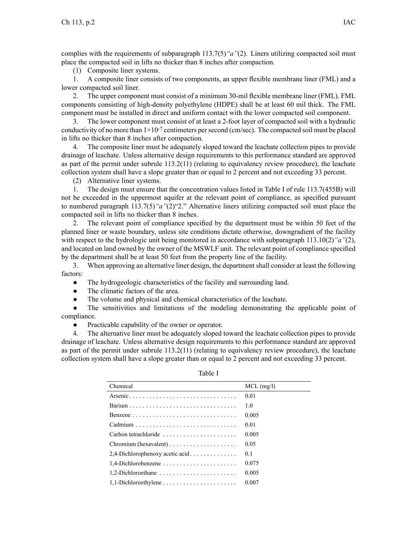complies with the requirements of subparagraph 113.7(5)*"a"*(2). Liners utilizing compacted soil must place the compacted soil in lifts no thicker than 8 inches after compaction.

(1) Composite liner systems.

1. A composite liner consists of two components, an upper flexible membrane liner (FML) and <sup>a</sup> lower compacted soil liner.

2. The upper componen<sup>t</sup> must consist of <sup>a</sup> minimum 30-mil flexible membrane liner (FML). FML components consisting of high-density polyethylene (HDPE) shall be at least 60 mil thick. The FML componen<sup>t</sup> must be installed in direct and uniform contact with the lower compacted soil component.

3. The lower componen<sup>t</sup> must consist of at least <sup>a</sup> 2-foot layer of compacted soil with <sup>a</sup> hydraulic conductivity of no more than  $1\times10^{-7}$  centimeters per second (cm/sec). The compacted soil must be placed in lifts no thicker than 8 inches after compaction.

4. The composite liner must be adequately sloped toward the leachate collection pipes to provide drainage of leachate. Unless alternative design requirements to this performance standard are approved as par<sup>t</sup> of the permit under subrule 113.2(11) (relating to equivalency review procedure), the leachate collection system shall have <sup>a</sup> slope greater than or equal to 2 percen<sup>t</sup> and not exceeding 33 percent.

(2) Alternative liner systems.

1. The design must ensure that the concentration values listed in Table I of rule 113.7(455B) will not be exceeded in the uppermos<sup>t</sup> aquifer at the relevant point of compliance, as specified pursuan<sup>t</sup> to numbered paragraph 113.7(5)*"a"*(2)"2." Alternative liners utilizing compacted soil must place the compacted soil in lifts no thicker than 8 inches.

2. The relevant point of compliance specified by the department must be within 50 feet of the planned liner or waste boundary, unless site conditions dictate otherwise, downgradient of the facility with respect to the hydrologic unit being monitored in accordance with subparagraph 113.10(2)*"a"*(2), and located on land owned by the owner of the MSWLF unit. The relevant point of compliance specified by the department shall be at least 50 feet from the property line of the facility.

3. When approving an alternative liner design, the department shall consider at least the following factors:

- $\bullet$ The hydrogeologic characteristics of the facility and surrounding land.
- ●The climatic factors of the area.
- $\bullet$ The volume and physical and chemical characteristics of the leachate.

● The sensitivities and limitations of the modeling demonstrating the applicable point of compliance.

 $\bullet$ Practicable capability of the owner or operator.

4. The alternative liner must be adequately sloped toward the leachate collection pipes to provide drainage of leachate. Unless alternative design requirements to this performance standard are approved as par<sup>t</sup> of the permit under subrule 113.2(11) (relating to equivalency review procedure), the leachate collection system shall have <sup>a</sup> slope greater than or equal to 2 percen<sup>t</sup> and not exceeding 33 percent.

| Chemical               | $MCL$ (mg/l)   |
|------------------------|----------------|
|                        | 0.01           |
|                        | 1 <sub>0</sub> |
|                        | 0.005          |
|                        | 0.01           |
| Carbon tetrachloride   | 0.005          |
|                        | 0.05           |
|                        | 0 <sub>1</sub> |
| $1,4$ -Dichlorobenzene | 0.075          |
|                        | 0.005          |
|                        | 0.007          |

Table I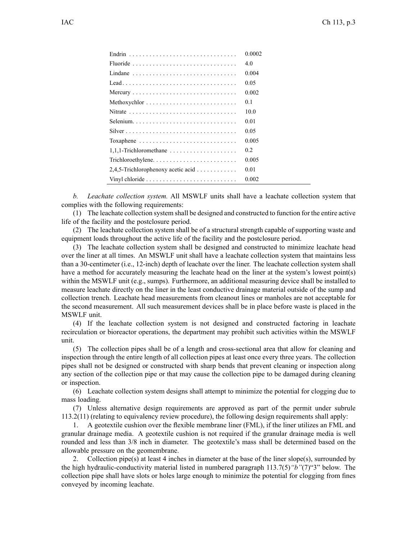|                                                                                       | 0.0002          |
|---------------------------------------------------------------------------------------|-----------------|
|                                                                                       | 40              |
|                                                                                       | 0.004           |
| $\text{Lead} \dots \dots \dots \dots \dots \dots \dots \dots \dots \dots \dots \dots$ | 0.05            |
|                                                                                       | 0.002           |
| Methoxychlor $\dots \dots \dots \dots \dots \dots \dots \dots \dots \dots$            | 0 <sub>1</sub>  |
|                                                                                       | 10 <sub>0</sub> |
|                                                                                       | 0.01            |
|                                                                                       | 0.05            |
|                                                                                       | 0.005           |
| $1,1,1$ -Trichloromethane                                                             | 02              |
|                                                                                       | 0.005           |
| 2,4,5-Trichlorophenoxy acetic acid                                                    | 0.01            |
|                                                                                       | 0.002           |

*b. Leachate collection system.* All MSWLF units shall have <sup>a</sup> leachate collection system that complies with the following requirements:

(1) The leachate collection system shall be designed and constructed to function for the entire active life of the facility and the postclosure period.

(2) The leachate collection system shall be of <sup>a</sup> structural strength capable of supporting waste and equipment loads throughout the active life of the facility and the postclosure period.

(3) The leachate collection system shall be designed and constructed to minimize leachate head over the liner at all times. An MSWLF unit shall have <sup>a</sup> leachate collection system that maintains less than <sup>a</sup> 30-centimeter (i.e., 12-inch) depth of leachate over the liner. The leachate collection system shall have <sup>a</sup> method for accurately measuring the leachate head on the liner at the system's lowest point(s) within the MSWLF unit (e.g., sumps). Furthermore, an additional measuring device shall be installed to measure leachate directly on the liner in the least conductive drainage material outside of the sump and collection trench. Leachate head measurements from cleanout lines or manholes are not acceptable for the second measurement. All such measurement devices shall be in place before waste is placed in the MSWLF unit.

(4) If the leachate collection system is not designed and constructed factoring in leachate recirculation or bioreactor operations, the department may prohibit such activities within the MSWLF unit.

(5) The collection pipes shall be of <sup>a</sup> length and cross-sectional area that allow for cleaning and inspection through the entire length of all collection pipes at least once every three years. The collection pipes shall not be designed or constructed with sharp bends that preven<sup>t</sup> cleaning or inspection along any section of the collection pipe or that may cause the collection pipe to be damaged during cleaning or inspection.

(6) Leachate collection system designs shall attempt to minimize the potential for clogging due to mass loading.

(7) Unless alternative design requirements are approved as par<sup>t</sup> of the permit under subrule 113.2(11) (relating to equivalency review procedure), the following design requirements shall apply:

1. A geotextile cushion over the flexible membrane liner (FML), if the liner utilizes an FML and granular drainage media. A geotextile cushion is not required if the granular drainage media is well rounded and less than 3/8 inch in diameter. The geotextile's mass shall be determined based on the allowable pressure on the geomembrane.

2. Collection pipe(s) at least 4 inches in diameter at the base of the liner slope(s), surrounded by the high hydraulic-conductivity material listed in numbered paragraph 113.7(5)*"b"*(7)"3" below. The collection pipe shall have slots or holes large enough to minimize the potential for clogging from fines conveyed by incoming leachate.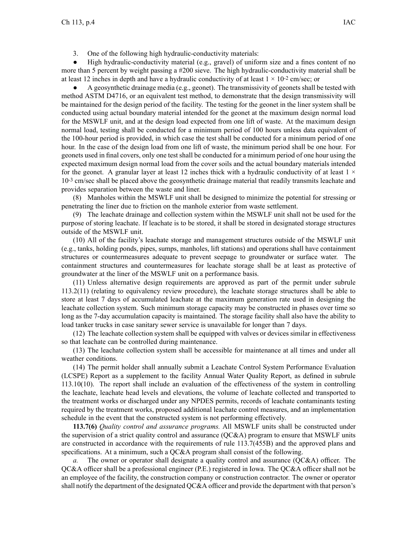3. One of the following high hydraulic-conductivity materials:

●High hydraulic-conductivity material (e.g., gravel) of uniform size and a fines content of no more than 5 percen<sup>t</sup> by weight passing <sup>a</sup> #200 sieve. The high hydraulic-conductivity material shall be at least 12 inches in depth and have a hydraulic conductivity of at least  $1 \times 10^{-2}$  cm/sec; or

 $\bullet$  A geosynthetic drainage media (e.g., geonet). The transmissivity of geonets shall be tested with method ASTM D4716, or an equivalent test method, to demonstrate that the design transmissivity will be maintained for the design period of the facility. The testing for the geone<sup>t</sup> in the liner system shall be conducted using actual boundary material intended for the geone<sup>t</sup> at the maximum design normal load for the MSWLF unit, and at the design load expected from one lift of waste. At the maximum design normal load, testing shall be conducted for <sup>a</sup> minimum period of 100 hours unless data equivalent of the 100-hour period is provided, in which case the test shall be conducted for <sup>a</sup> minimum period of one hour. In the case of the design load from one lift of waste, the minimum period shall be one hour. For geonets used in final covers, only one test shall be conducted for <sup>a</sup> minimum period of one hour using the expected maximum design normal load from the cover soils and the actual boundary materials intended for the geonet. A granular layer at least 12 inches thick with a hydraulic conductivity of at least  $1 \times$ 10<sup>-3</sup> cm/sec shall be placed above the geosynthetic drainage material that readily transmits leachate and provides separation between the waste and liner.

(8) Manholes within the MSWLF unit shall be designed to minimize the potential for stressing or penetrating the liner due to friction on the manhole exterior from waste settlement.

(9) The leachate drainage and collection system within the MSWLF unit shall not be used for the purpose of storing leachate. If leachate is to be stored, it shall be stored in designated storage structures outside of the MSWLF unit.

(10) All of the facility's leachate storage and managemen<sup>t</sup> structures outside of the MSWLF unit (e.g., tanks, holding ponds, pipes, sumps, manholes, lift stations) and operations shall have containment structures or countermeasures adequate to preven<sup>t</sup> seepage to groundwater or surface water. The containment structures and countermeasures for leachate storage shall be at least as protective of groundwater at the liner of the MSWLF unit on <sup>a</sup> performance basis.

(11) Unless alternative design requirements are approved as par<sup>t</sup> of the permit under subrule 113.2(11) (relating to equivalency review procedure), the leachate storage structures shall be able to store at least 7 days of accumulated leachate at the maximum generation rate used in designing the leachate collection system. Such minimum storage capacity may be constructed in phases over time so long as the 7-day accumulation capacity is maintained. The storage facility shall also have the ability to load tanker trucks in case sanitary sewer service is unavailable for longer than 7 days.

(12) The leachate collection system shall be equipped with valves or devices similar in effectiveness so that leachate can be controlled during maintenance.

(13) The leachate collection system shall be accessible for maintenance at all times and under all weather conditions.

(14) The permit holder shall annually submit <sup>a</sup> Leachate Control System Performance Evaluation (LCSPE) Report as <sup>a</sup> supplement to the facility Annual Water Quality Report, as defined in subrule 113.10(10). The repor<sup>t</sup> shall include an evaluation of the effectiveness of the system in controlling the leachate, leachate head levels and elevations, the volume of leachate collected and transported to the treatment works or discharged under any NPDES permits, records of leachate contaminants testing required by the treatment works, proposed additional leachate control measures, and an implementation schedule in the event that the constructed system is not performing effectively.

**113.7(6)** *Quality control and assurance programs.* All MSWLF units shall be constructed under the supervision of <sup>a</sup> strict quality control and assurance (QC&A) program to ensure that MSWLF units are constructed in accordance with the requirements of rule 113.7(455B) and the approved plans and specifications. At a minimum, such a QC&A program shall consist of the following.

*a.* The owner or operator shall designate <sup>a</sup> quality control and assurance (QC&A) officer. The QC&A officer shall be <sup>a</sup> professional engineer (P.E.) registered in Iowa. The QC&A officer shall not be an employee of the facility, the construction company or construction contractor. The owner or operator shall notify the department of the designated QC&A officer and provide the department with that person's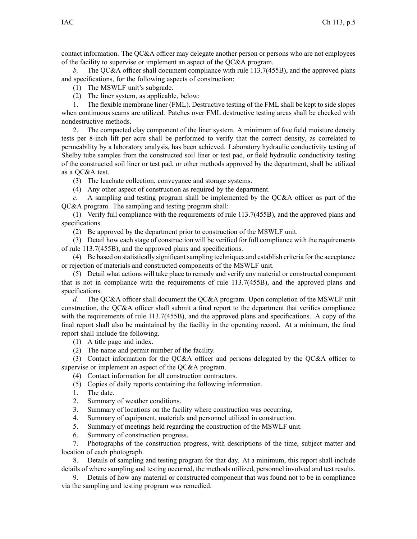contact information. The QC&A officer may delegate another person or persons who are not employees of the facility to supervise or implement an aspec<sup>t</sup> of the QC&A program.

*b.* The QC&A officer shall document compliance with rule 113.7(455B), and the approved plans and specifications, for the following aspects of construction:

(1) The MSWLF unit's subgrade.

(2) The liner system, as applicable, below:

1. The flexible membrane liner (FML). Destructive testing of the FML shall be kept to side slopes when continuous seams are utilized. Patches over FML destructive testing areas shall be checked with nondestructive methods.

2. The compacted clay componen<sup>t</sup> of the liner system. A minimum of five field moisture density tests per 8-inch lift per acre shall be performed to verify that the correct density, as correlated to permeability by <sup>a</sup> laboratory analysis, has been achieved. Laboratory hydraulic conductivity testing of Shelby tube samples from the constructed soil liner or test pad, or field hydraulic conductivity testing of the constructed soil liner or test pad, or other methods approved by the department, shall be utilized as <sup>a</sup> QC&A test.

(3) The leachate collection, conveyance and storage systems.

(4) Any other aspec<sup>t</sup> of construction as required by the department.

*c.* A sampling and testing program shall be implemented by the QC&A officer as par<sup>t</sup> of the QC&A program. The sampling and testing program shall:

(1) Verify full compliance with the requirements of rule 113.7(455B), and the approved plans and specifications.

(2) Be approved by the department prior to construction of the MSWLF unit.

(3) Detail how each stage of construction will be verified for full compliance with the requirements of rule 113.7(455B), and the approved plans and specifications.

(4) Be based on statistically significantsampling techniques and establish criteria for the acceptance or rejection of materials and constructed components of the MSWLF unit.

(5) Detail what actions will take place to remedy and verify any material or constructed componen<sup>t</sup> that is not in compliance with the requirements of rule 113.7(455B), and the approved plans and specifications.

*d.* The QC&A officer shall document the QC&A program. Upon completion of the MSWLF unit construction, the QC&A officer shall submit <sup>a</sup> final repor<sup>t</sup> to the department that verifies compliance with the requirements of rule 113.7(455B), and the approved plans and specifications. A copy of the final repor<sup>t</sup> shall also be maintained by the facility in the operating record. At <sup>a</sup> minimum, the final repor<sup>t</sup> shall include the following.

(1) A title page and index.

(2) The name and permit number of the facility.

(3) Contact information for the QC&A officer and persons delegated by the QC&A officer to supervise or implement an aspect of the QC&A program.

- (4) Contact information for all construction contractors.
- (5) Copies of daily reports containing the following information.
- 1. The date.
- 2. Summary of weather conditions.
- 3. Summary of locations on the facility where construction was occurring.
- 4. Summary of equipment, materials and personnel utilized in construction.
- 5. Summary of meetings held regarding the construction of the MSWLF unit.
- 6. Summary of construction progress.

7. Photographs of the construction progress, with descriptions of the time, subject matter and location of each photograph.

8. Details of sampling and testing program for that day. At <sup>a</sup> minimum, this repor<sup>t</sup> shall include details of where sampling and testing occurred, the methods utilized, personnel involved and test results.

9. Details of how any material or constructed componen<sup>t</sup> that was found not to be in compliance via the sampling and testing program was remedied.